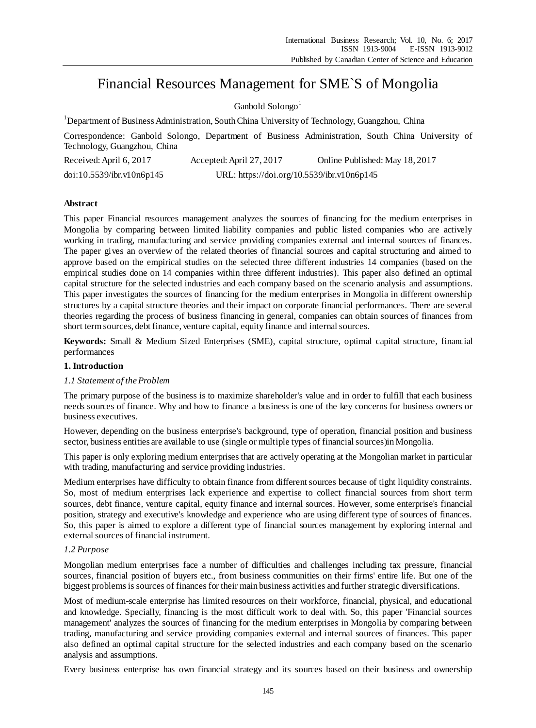# Financial Resources Management for SME`S of Mongolia

Ganbold Solongo<sup>1</sup>

<sup>1</sup>Department of Business Administration, South China University of Technology, Guangzhou, China

Correspondence: Ganbold Solongo, Department of Business Administration, South China University of Technology, Guangzhou, China

| Received: April 6, 2017   | Accepted: April 27, 2017                   | Online Published: May 18, 2017 |
|---------------------------|--------------------------------------------|--------------------------------|
| doi:10.5539/ibr.v10n6p145 | URL: https://doi.org/10.5539/ibr.v10n6p145 |                                |

# **Abstract**

This paper Financial resources management analyzes the sources of financing for the medium enterprises in Mongolia by comparing between limited liability companies and public listed companies who are actively working in trading, manufacturing and service providing companies external and internal sources of finances. The paper gives an overview of the related theories of financial sources and capital structuring and aimed to approve based on the empirical studies on the selected three different industries 14 companies (based on the empirical studies done on 14 companies within three different industries). This paper also defined an optimal capital structure for the selected industries and each company based on the scenario analysis and assumptions. This paper investigates the sources of financing for the medium enterprises in Mongolia in different ownership structures by a capital structure theories and their impact on corporate financial performances. There are several theories regarding the process of business financing in general, companies can obtain sources of finances from short term sources, debt finance, venture capital, equity finance and internal sources.

**Keywords:** Small & Medium Sized Enterprises (SME), capital structure, optimal capital structure, financial performances

# **1. Introduction**

# *1.1 Statement of the Problem*

The primary purpose of the business is to maximize shareholder's value and in order to fulfill that each business needs sources of finance. Why and how to finance a business is one of the key concerns for business owners or business executives.

However, depending on the business enterprise's background, type of operation, financial position and business sector, business entities are available to use (single or multiple types of financial sources)in Mongolia.

This paper is only exploring medium enterprises that are actively operating at the Mongolian market in particular with trading, manufacturing and service providing industries.

Medium enterprises have difficulty to obtain finance from different sources because of tight liquidity constraints. So, most of medium enterprises lack experience and expertise to collect financial sources from short term sources, debt finance, venture capital, equity finance and internal sources. However, some enterprise's financial position, strategy and executive's knowledge and experience who are using different type of sources of finances. So, this paper is aimed to explore a different type of financial sources management by exploring internal and external sources of financial instrument.

# *1.2 Purpose*

Mongolian medium enterprises face a number of difficulties and challenges including tax pressure, financial sources, financial position of buyers etc., from business communities on their firms' entire life. But one of the biggest problems is sources of finances for their main business activities and further strategic diversifications.

Most of medium-scale enterprise has limited resources on their workforce, financial, physical, and educational and knowledge. Specially, financing is the most difficult work to deal with. So, this paper 'Financial sources management' analyzes the sources of financing for the medium enterprises in Mongolia by comparing between trading, manufacturing and service providing companies external and internal sources of finances. This paper also defined an optimal capital structure for the selected industries and each company based on the scenario analysis and assumptions.

Every business enterprise has own financial strategy and its sources based on their business and ownership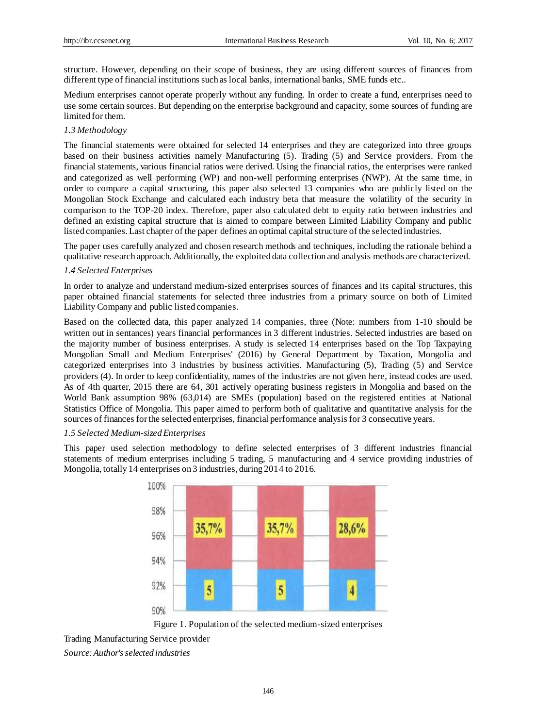structure. However, depending on their scope of business, they are using different sources of finances from different type of financial institutions such as local banks, international banks, SME funds etc..

Medium enterprises cannot operate properly without any funding. In order to create a fund, enterprises need to use some certain sources. But depending on the enterprise background and capacity, some sources of funding are limited for them.

# *1.3 Methodology*

The financial statements were obtained for selected 14 enterprises and they are categorized into three groups based on their business activities namely Manufacturing (5). Trading (5) and Service providers. From the financial statements, various financial ratios were derived. Using the financial ratios, the enterprises were ranked and categorized as well performing (WP) and non-well performing enterprises (NWP). At the same time, in order to compare a capital structuring, this paper also selected 13 companies who are publicly listed on the Mongolian Stock Exchange and calculated each industry beta that measure the volatility of the security in comparison to the TOP-20 index. Therefore, paper also calculated debt to equity ratio between industries and defined an existing capital structure that is aimed to compare between Limited Liability Company and public listed companies. Last chapter of the paper defines an optimal capital structure of the selected industries.

The paper uses carefully analyzed and chosen research methods and techniques, including the rationale behind a qualitative research approach. Additionally, the exploited data collection and analysis methods are characterized.

#### *1.4 Selected Enterprises*

In order to analyze and understand medium-sized enterprises sources of finances and its capital structures, this paper obtained financial statements for selected three industries from a primary source on both of Limited Liability Company and public listed companies.

Based on the collected data, this paper analyzed 14 companies, three (Note: numbers from 1-10 should be written out in sentances) years financial performances in 3 different industries. Selected industries are based on the majority number of business enterprises. A study is selected 14 enterprises based on the Top Taxpaying Mongolian Small and Medium Enterprises' (2016) by General Department by Taxation, Mongolia and categorized enterprises into 3 industries by business activities. Manufacturing (5), Trading (5) and Service providers (4). In order to keep confidentiality, names of the industries are not given here, instead codes are used. As of 4th quarter, 2015 there are 64, 301 actively operating business registers in Mongolia and based on the World Bank assumption 98% (63,014) are SMEs (population) based on the registered entities at National Statistics Office of Mongolia. This paper aimed to perform both of qualitative and quantitative analysis for the sources of finances for the selected enterprises, financial performance analysis for 3 consecutive years.

#### *1.5 Selected Medium-sized Enterprises*

This paper used selection methodology to define selected enterprises of 3 different industries financial statements of medium enterprises including 5 trading, 5 manufacturing and 4 service providing industries of Mongolia, totally 14 enterprises on 3 industries, during 2014 to 2016.



Figure 1. Population of the selected medium-sized enterprises

Trading Manufacturing Service provider *Source: Author's selected industries*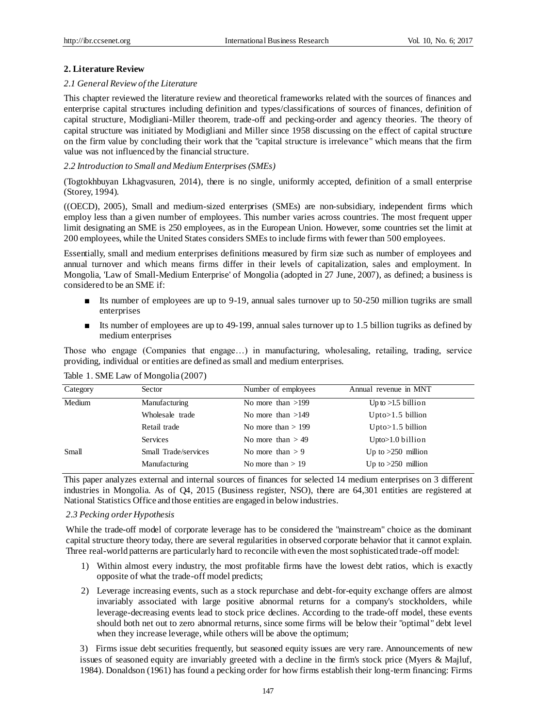# **2. Literature Review**

#### *2.1 General Review of the Literature*

This chapter reviewed the literature review and theoretical frameworks related with the sources of finances and enterprise capital structures including definition and types/classifications of sources of finances, definition of capital structure, Modigliani-Miller theorem, trade-off and pecking-order and agency theories. The theory of capital structure was initiated by Modigliani and Miller since 1958 discussing on the effect of capital structure on the firm value by concluding their work that the "capital structure is irrelevance" which means that the firm value was not influenced by the financial structure.

### *2.2 Introduction to Small and Medium Enterprises (SMEs)*

(Togtokhbuyan Lkhagvasuren, 2014), there is no single, uniformly accepted, definition of a small enterprise (Storey, 1994).

((OECD), 2005), Small and medium-sized enterprises (SMEs) are non-subsidiary, independent firms which employ less than a given number of employees. This number varies across countries. The most frequent upper limit designating an SME is 250 employees, as in the European Union. However, some countries set the limit at 200 employees, while the United States considers SMEs to include firms with fewer than 500 employees.

Essentially, small and medium enterprises definitions measured by firm size such as number of employees and annual turnover and which means firms differ in their levels of capitalization, sales and employment. In Mongolia, 'Law of Small-Medium Enterprise' of Mongolia (adopted in 27 June, 2007), as defined; a business is considered to be an SME if:

- Its number of employees are up to 9-19, annual sales turnover up to 50-250 million tugriks are small enterprises
- Its number of employees are up to 49-199, annual sales turnover up to 1.5 billion tugriks as defined by medium enterprises

Those who engage (Companies that engage…) in manufacturing, wholesaling, retailing, trading, service providing, individual or entities are defined as small and medium enterprises.

| Category | Sector               | Number of employees  | Annual revenue in MNT |
|----------|----------------------|----------------------|-----------------------|
| Medium   | Manufacturing        | No more than $>199$  | Up to $>1.5$ billion  |
|          | Wholesale trade      | No more than $>149$  | $Upto>1.5$ billion    |
|          | Retail trade         | No more than $> 199$ | $Upto>1.5$ billion    |
|          | <b>Services</b>      | No more than $> 49$  | $Upto>1.0$ billion    |
| Small    | Small Trade/services | No more than $> 9$   | Up to $>250$ million  |
|          | Manufacturing        | No more than $> 19$  | Up to $>250$ million  |

Table 1. SME Law of Mongolia (2007)

This paper analyzes external and internal sources of finances for selected 14 medium enterprises on 3 different industries in Mongolia. As of Q4, 2015 (Business register, NSO), there are 64,301 entities are registered at National Statistics Office and those entities are engaged in below industries.

# *2.3 Pecking order Hypothesis*

While the trade-off model of corporate leverage has to be considered the "mainstream" choice as the dominant capital structure theory today, there are several regularities in observed corporate behavior that it cannot explain. Three real-world patterns are particularly hard to reconcile with even the most sophisticated trade-off model:

- 1) Within almost every industry, the most profitable firms have the lowest debt ratios, which is exactly opposite of what the trade-off model predicts;
- 2) Leverage increasing events, such as a stock repurchase and debt-for-equity exchange offers are almost invariably associated with large positive abnormal returns for a company's stockholders, while leverage-decreasing events lead to stock price declines. According to the trade-off model, these events should both net out to zero abnormal returns, since some firms will be below their "optimal" debt level when they increase leverage, while others will be above the optimum;

3) Firms issue debt securities frequently, but seasoned equity issues are very rare. Announcements of new issues of seasoned equity are invariably greeted with a decline in the firm's stock price (Myers & Majluf, 1984). Donaldson (1961) has found a pecking order for how firms establish their long-term financing: Firms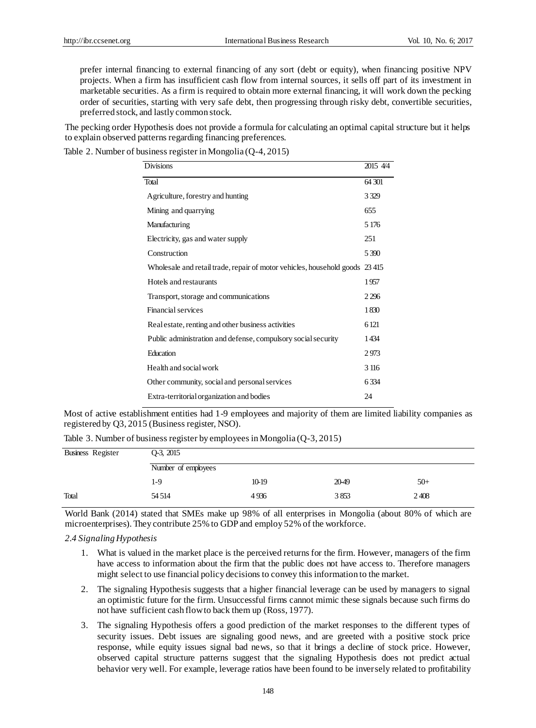prefer internal financing to external financing of any sort (debt or equity), when financing positive NPV projects. When a firm has insufficient cash flow from internal sources, it sells off part of its investment in marketable securities. As a firm is required to obtain more external financing, it will work down the pecking order of securities, starting with very safe debt, then progressing through risky debt, convertible securities, preferred stock, and lastly common stock.

The pecking order Hypothesis does not provide a formula for calculating an optimal capital structure but it helps to explain observed patterns regarding financing preferences.

Table 2. Number of business register in Mongolia (Q-4, 2015)

| <b>Divisions</b>                                                            | 2015 4/4 |
|-----------------------------------------------------------------------------|----------|
|                                                                             |          |
| Total                                                                       | 64.301   |
| Agriculture, forestry and hunting                                           | 3.329    |
| Mining and quarrying                                                        | 655      |
| Manufacturing                                                               | 5 1 7 6  |
| Electricity, gas and water supply                                           | 251      |
| Construction                                                                | 5 3 9 0  |
| Wholesale and retail trade, repair of motor vehicles, household goods 23415 |          |
| Hotels and restaurants                                                      | 1957     |
| Transport, storage and communications                                       | 2 2 9 6  |
| Financial services                                                          | 1830     |
| Real estate, renting and other business activities                          | 6121     |
| Public administration and defense, compulsory social security               | 1434     |
| <b>Education</b>                                                            | 2973     |
| Health and social work                                                      | 3 116    |
| Other community, social and personal services                               | 6334     |
| Extra-territorial organization and bodies                                   | 24       |

Most of active establishment entities had 1-9 employees and majority of them are limited liability companies as registered by Q3, 2015 (Business register, NSO).

Table 3. Number of business register by employees in Mongolia (Q-3, 2015)

| Business Register | $Q-3$ , $2015$      |       |       |       |
|-------------------|---------------------|-------|-------|-------|
|                   | Number of employees |       |       |       |
|                   | 1-9                 | 10-19 | 20-49 | $50+$ |
| Total             | 54 5 14             | 4936  | 3853  | 2408  |

World Bank (2014) stated that SMEs make up 98% of all enterprises in Mongolia (about 80% of which are microenterprises). They contribute 25% to GDP and employ 52% of the workforce.

# *2.4 Signaling Hypothesis*

- 1. What is valued in the market place is the perceived returns for the firm. However, managers of the firm have access to information about the firm that the public does not have access to. Therefore managers might select to use financial policy decisions to convey this information to the market.
- 2. The signaling Hypothesis suggests that a higher financial leverage can be used by managers to signal an optimistic future for the firm. Unsuccessful firms cannot mimic these signals because such firms do not have sufficient cash flow to back them up (Ross, 1977).
- 3. The signaling Hypothesis offers a good prediction of the market responses to the different types of security issues. Debt issues are signaling good news, and are greeted with a positive stock price response, while equity issues signal bad news, so that it brings a decline of stock price. However, observed capital structure patterns suggest that the signaling Hypothesis does not predict actual behavior very well. For example, leverage ratios have been found to be inversely related to profitability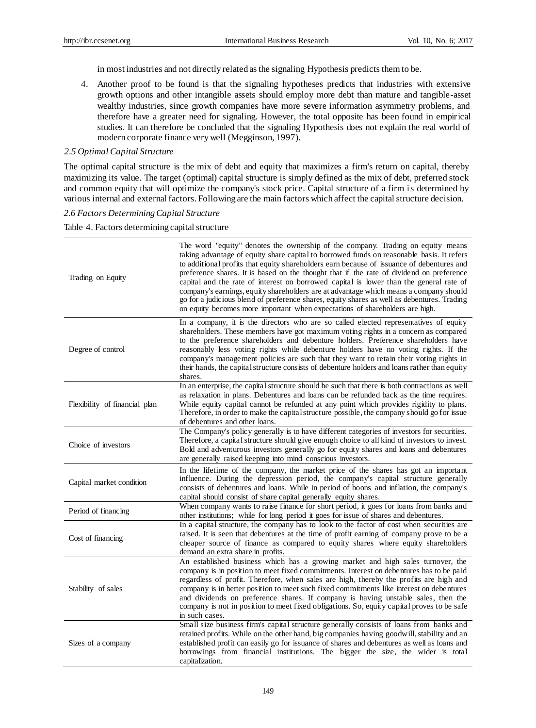in most industries and not directly related as the signaling Hypothesis predicts them to be.

4. Another proof to be found is that the signaling hypotheses predicts that industries with extensive growth options and other intangible assets should employ more debt than mature and tangible-asset wealthy industries, since growth companies have more severe information asymmetry problems, and therefore have a greater need for signaling. However, the total opposite has been found in empirical studies. It can therefore be concluded that the signaling Hypothesis does not explain the real world of modern corporate finance very well (Megginson, 1997).

#### *2.5 Optimal Capital Structure*

The optimal capital structure is the mix of debt and equity that maximizes a firm's return on capital, thereby maximizing its value. The target (optimal) capital structure is simply defined as the mix of debt, preferred stock and common equity that will optimize the company's stock price. Capital structure of a firm is determined by various internal and external factors. Following are the main factors which affect the capital structure decision.

# *2.6 Factors Determining Capital Structure*

Table 4. Factors determining capital structure

| Trading on Equity             | The word "equity" denotes the ownership of the company. Trading on equity means<br>taking advantage of equity share capital to borrowed funds on reasonable basis. It refers<br>to additional profits that equity shareholders earn because of issuance of debentures and<br>preference shares. It is based on the thought that if the rate of dividend on preference<br>capital and the rate of interest on borrowed capital is lower than the general rate of<br>company's earnings, equity shareholders are at advantage which means a company should<br>go for a judicious blend of preference shares, equity shares as well as debentures. Trading<br>on equity becomes more important when expectations of shareholders are high. |
|-------------------------------|-----------------------------------------------------------------------------------------------------------------------------------------------------------------------------------------------------------------------------------------------------------------------------------------------------------------------------------------------------------------------------------------------------------------------------------------------------------------------------------------------------------------------------------------------------------------------------------------------------------------------------------------------------------------------------------------------------------------------------------------|
| Degree of control             | In a company, it is the directors who are so called elected representatives of equity<br>shareholders. These members have got maximum voting rights in a concern as compared<br>to the preference shareholders and debenture holders. Preference shareholders have<br>reasonably less voting rights while debenture holders have no voting rights. If the<br>company's management policies are such that they want to retain their voting rights in<br>their hands, the capital structure consists of debenture holders and loans rather than equity<br>shares.                                                                                                                                                                         |
| Flexibility of financial plan | In an enterprise, the capital structure should be such that there is both contractions as well<br>as relaxation in plans. Debentures and loans can be refunded back as the time requires.<br>While equity capital cannot be refunded at any point which provides rigidity to plans.<br>Therefore, in order to make the capital structure possible, the company should go for issue<br>of debentures and other loans.                                                                                                                                                                                                                                                                                                                    |
| Choice of investors           | The Company's policy generally is to have different categories of investors for securities.<br>Therefore, a capital structure should give enough choice to all kind of investors to invest.<br>Bold and adventurous investors generally go for equity shares and loans and debentures<br>are generally raised keeping into mind conscious investors.                                                                                                                                                                                                                                                                                                                                                                                    |
| Capital market condition      | In the lifetime of the company, the market price of the shares has got an important<br>influence. During the depression period, the company's capital structure generally<br>consists of debentures and loans. While in period of boons and inflation, the company's<br>capital should consist of share capital generally equity shares.                                                                                                                                                                                                                                                                                                                                                                                                |
| Period of financing           | When company wants to raise finance for short period, it goes for loans from banks and<br>other institutions; while for long period it goes for issue of shares and debentures.                                                                                                                                                                                                                                                                                                                                                                                                                                                                                                                                                         |
| Cost of financing             | In a capital structure, the company has to look to the factor of cost when securities are<br>raised. It is seen that debentures at the time of profit earning of company prove to be a<br>cheaper source of finance as compared to equity shares where equity shareholders<br>demand an extra share in profits.                                                                                                                                                                                                                                                                                                                                                                                                                         |
| Stability of sales            | An established business which has a growing market and high sales turnover, the<br>company is in position to meet fixed commitments. Interest on debentures has to be paid<br>regardless of profit. Therefore, when sales are high, thereby the profits are high and<br>company is in better position to meet such fixed commitments like interest on debentures<br>and dividends on preference shares. If company is having unstable sales, then the<br>company is not in position to meet fixed obligations. So, equity capital proves to be safe<br>in such cases.                                                                                                                                                                   |
| Sizes of a company            | Small size business firm's capital structure generally consists of loans from banks and<br>retained profits. While on the other hand, big companies having goodwill, stability and an<br>established profit can easily go for issuance of shares and debentures as well as loans and<br>borrowings from financial institutions. The bigger the size, the wider is total<br>capitalization.                                                                                                                                                                                                                                                                                                                                              |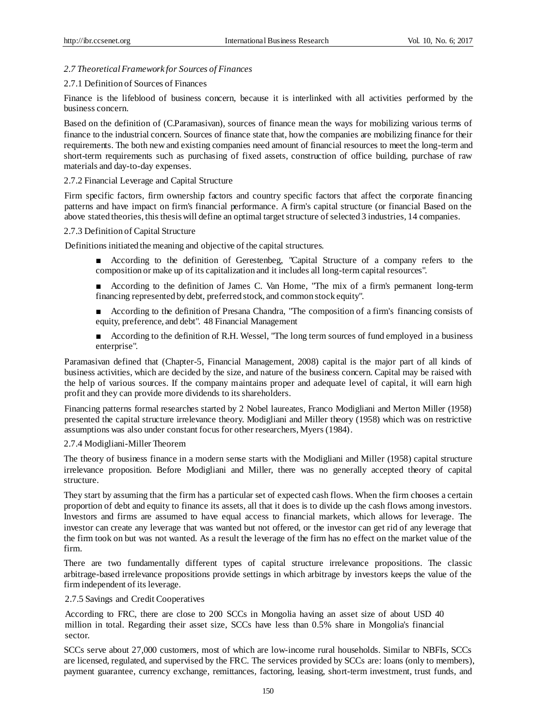# *2.7 Theoretical Framework for Sources of Finances*

# 2.7.1 Definition of Sources of Finances

Finance is the lifeblood of business concern, because it is interlinked with all activities performed by the business concern.

Based on the definition of (C.Paramasivan), sources of finance mean the ways for mobilizing various terms of finance to the industrial concern. Sources of finance state that, how the companies are mobilizing finance for their requirements. The both new and existing companies need amount of financial resources to meet the long-term and short-term requirements such as purchasing of fixed assets, construction of office building, purchase of raw materials and day-to-day expenses.

# 2.7.2 Financial Leverage and Capital Structure

Firm specific factors, firm ownership factors and country specific factors that affect the corporate financing patterns and have impact on firm's financial performance. A firm's capital structure (or financial Based on the above stated theories, this thesis will define an optimal target structure of selected 3 industries, 14 companies.

# 2.7.3 Definition of Capital Structure

Definitions initiated the meaning and objective of the capital structures.

- According to the definition of Gerestenbeg, "Capital Structure of a company refers to the composition or make up of its capitalization and it includes all long-term capital resources".
- According to the definition of James C. Van Home, "The mix of a firm's permanent long-term financing represented by debt, preferred stock, and common stock equity".
- According to the definition of Presana Chandra, "The composition of a firm's financing consists of equity, preference, and debt". 48 Financial Management
- According to the definition of R.H. Wessel, "The long term sources of fund employed in a business enterprise".

Paramasivan defined that (Chapter-5, Financial Management, 2008) capital is the major part of all kinds of business activities, which are decided by the size, and nature of the business concern. Capital may be raised with the help of various sources. If the company maintains proper and adequate level of capital, it will earn high profit and they can provide more dividends to its shareholders.

Financing patterns formal researches started by 2 Nobel laureates, Franco Modigliani and Merton Miller (1958) presented the capital structure irrelevance theory. Modigliani and Miller theory (1958) which was on restrictive assumptions was also under constant focus for other researchers, Myers (1984).

# 2.7.4 Modigliani-Miller Theorem

The theory of business finance in a modern sense starts with the Modigliani and Miller (1958) capital structure irrelevance proposition. Before Modigliani and Miller, there was no generally accepted theory of capital structure.

They start by assuming that the firm has a particular set of expected cash flows. When the firm chooses a certain proportion of debt and equity to finance its assets, all that it does is to divide up the cash flows among investors. Investors and firms are assumed to have equal access to financial markets, which allows for leverage. The investor can create any leverage that was wanted but not offered, or the investor can get rid of any leverage that the firm took on but was not wanted. As a result the leverage of the firm has no effect on the market value of the firm.

There are two fundamentally different types of capital structure irrelevance propositions. The classic arbitrage-based irrelevance propositions provide settings in which arbitrage by investors keeps the value of the firm independent of its leverage.

# 2.7.5 Savings and Credit Cooperatives

According to FRC, there are close to 200 SCCs in Mongolia having an asset size of about USD 40 million in total. Regarding their asset size, SCCs have less than 0.5% share in Mongolia's financial sector.

SCCs serve about 27,000 customers, most of which are low-income rural households. Similar to NBFIs, SCCs are licensed, regulated, and supervised by the FRC. The services provided by SCCs are: loans (only to members), payment guarantee, currency exchange, remittances, factoring, leasing, short-term investment, trust funds, and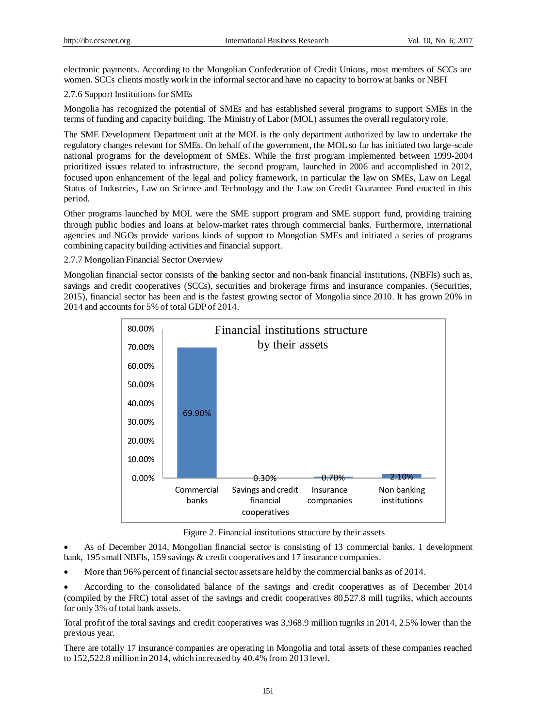electronic payments. According to the Mongolian Confederation of Credit Unions, most members of SCCs are women. SCCs clients mostly work in the informal sector and have no capacity to borrow at banks or NBFI

# 2.7.6 Support Institutions for SMEs

Mongolia has recognized the potential of SMEs and has established several programs to support SMEs in the terms of funding and capacity building. The Ministry of Labor (MOL) assumes the overall regulatory role.

The SME Development Department unit at the MOL is the only department authorized by law to undertake the regulatory changes relevant for SMEs. On behalf of the government, the MOL so far has initiated two large-scale national programs for the development of SMEs. While the first program implemented between 1999-2004 prioritized issues related to infrastructure, the second program, launched in 2006 and accomplished in 2012, focused upon enhancement of the legal and policy framework, in particular the law on SMEs, Law on Legal Status of Industries, Law on Science and Technology and the Law on Credit Guarantee Fund enacted in this period.

Other programs launched by MOL were the SME support program and SME support fund, providing training through public bodies and loans at below-market rates through commercial banks. Furthermore, international agencies and NGOs provide various kinds of support to Mongolian SMEs and initiated a series of programs combining capacity building activities and financial support.

# 2.7.7 Mongolian Financial Sector Overview

Mongolian financial sector consists of the banking sector and non-bank financial institutions, (NBFIs) such as, savings and credit cooperatives (SCCs), securities and brokerage firms and insurance companies. (Securities, 2015), financial sector has been and is the fastest growing sector of Mongolia since 2010. It has grown 20% in 2014 and accounts for 5% of total GDP of 2014.



Figure 2. Financial institutions structure by their assets

 As of December 2014, Mongolian financial sector is consisting of 13 commercial banks, 1 development bank, 195 small NBFIs, 159 savings & credit cooperatives and 17 insurance companies.

More than 96% percent of financial sector assets are held by the commercial banks as of 2014.

 According to the consolidated balance of the savings and credit cooperatives as of December 2014 (compiled by the FRC) total asset of the savings and credit cooperatives 80,527.8 mill tugriks, which accounts for only 3% of total bank assets.

Total profit of the total savings and credit cooperatives was 3,968.9 million tugriks in 2014, 2.5% lower than the previous year.

There are totally 17 insurance companies are operating in Mongolia and total assets of these companies reached to 152,522.8 million in 2014, which increased by 40.4% from 2013 level.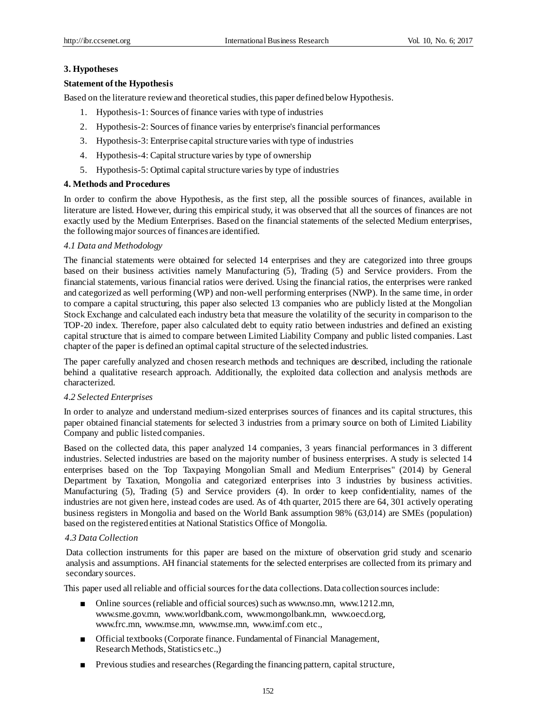# **3. Hypotheses**

# **Statement of the Hypothesis**

Based on the literature review and theoretical studies, this paper defined below Hypothesis.

- 1. Hypothesis-1: Sources of finance varies with type of industries
- 2. Hypothesis-2: Sources of finance varies by enterprise's financial performances
- 3. Hypothesis-3: Enterprise capital structure varies with type of industries
- 4. Hypothesis-4: Capital structure varies by type of ownership
- 5. Hypothesis-5: Optimal capital structure varies by type of industries

# **4. Methods and Procedures**

In order to confirm the above Hypothesis, as the first step, all the possible sources of finances, available in literature are listed. However, during this empirical study, it was observed that all the sources of finances are not exactly used by the Medium Enterprises. Based on the financial statements of the selected Medium enterprises, the following major sources of finances are identified.

# *4.1 Data and Methodology*

The financial statements were obtained for selected 14 enterprises and they are categorized into three groups based on their business activities namely Manufacturing (5), Trading (5) and Service providers. From the financial statements, various financial ratios were derived. Using the financial ratios, the enterprises were ranked and categorized as well performing (WP) and non-well performing enterprises (NWP). In the same time, in order to compare a capital structuring, this paper also selected 13 companies who are publicly listed at the Mongolian Stock Exchange and calculated each industry beta that measure the volatility of the security in comparison to the TOP-20 index. Therefore, paper also calculated debt to equity ratio between industries and defined an existing capital structure that is aimed to compare between Limited Liability Company and public listed companies. Last chapter of the paper is defined an optimal capital structure of the selected industries.

The paper carefully analyzed and chosen research methods and techniques are described, including the rationale behind a qualitative research approach. Additionally, the exploited data collection and analysis methods are characterized.

# *4.2 Selected Enterprises*

In order to analyze and understand medium-sized enterprises sources of finances and its capital structures, this paper obtained financial statements for selected 3 industries from a primary source on both of Limited Liability Company and public listed companies.

Based on the collected data, this paper analyzed 14 companies, 3 years financial performances in 3 different industries. Selected industries are based on the majority number of business enterprises. A study is selected 14 enterprises based on the Top Taxpaying Mongolian Small and Medium Enterprises" (2014) by General Department by Taxation, Mongolia and categorized enterprises into 3 industries by business activities. Manufacturing (5), Trading (5) and Service providers (4). In order to keep confidentiality, names of the industries are not given here, instead codes are used. As of 4th quarter, 2015 there are 64, 301 actively operating business registers in Mongolia and based on the World Bank assumption 98% (63,014) are SMEs (population) based on the registered entities at National Statistics Office of Mongolia.

# *4.3 Data Collection*

Data collection instruments for this paper are based on the mixture of observation grid study and scenario analysis and assumptions. AH financial statements for the selected enterprises are collected from its primary and secondary sources.

This paper used all reliable and official sources for the data collections. Data collection sources include:

- Online sources (reliable and official sources) such as www.nso.mn, www.1212.mn, www.sme.gov.mn, www.worldbank.com, www.mongolbank.mn, www.oecd.org, www.frc.mn, www.mse.mn, www.mse.mn, www.imf.com etc.,
- Official textbooks (Corporate finance. Fundamental of Financial Management, Research Methods, Statistics etc.,)
- Previous studies and researches (Regarding the financing pattern, capital structure,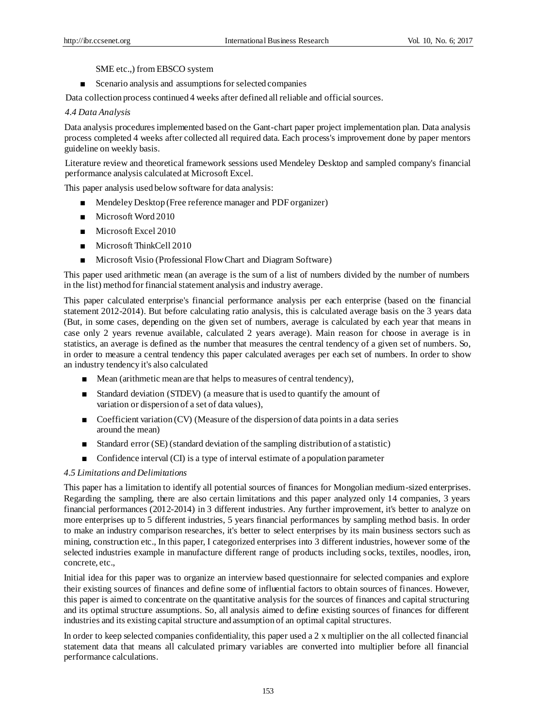SME etc.,) from EBSCO system

■ Scenario analysis and assumptions for selected companies

Data collection process continued 4 weeks after defined all reliable and official sources.

### *4.4 Data Analysis*

Data analysis procedures implemented based on the Gant-chart paper project implementation plan. Data analysis process completed 4 weeks after collected all required data. Each process's improvement done by paper mentors guideline on weekly basis.

Literature review and theoretical framework sessions used Mendeley Desktop and sampled company's financial performance analysis calculated at Microsoft Excel.

This paper analysis used below software for data analysis:

- Mendeley Desktop (Free reference manager and PDF organizer)
- Microsoft Word 2010
- Microsoft Excel 2010
- Microsoft ThinkCell 2010
- Microsoft Visio (Professional Flow Chart and Diagram Software)

This paper used arithmetic mean (an average is the sum of a list of numbers divided by the number of numbers in the list) method for financial statement analysis and industry average.

This paper calculated enterprise's financial performance analysis per each enterprise (based on the financial statement 2012-2014). But before calculating ratio analysis, this is calculated average basis on the 3 years data (But, in some cases, depending on the given set of numbers, average is calculated by each year that means in case only 2 years revenue available, calculated 2 years average). Main reason for choose in average is in statistics, an average is defined as the number that measures the central tendency of a given set of numbers. So, in order to measure a central tendency this paper calculated averages per each set of numbers. In order to show an industry tendency it's also calculated

- Mean (arithmetic mean are that helps to measures of central tendency),
- Standard deviation (STDEV) (a measure that is used to quantify the amount of variation or dispersion of a set of data values),
- Coefficient variation (CV) (Measure of the dispersion of data points in a data series around the mean)
- Standard error (SE) (standard deviation of the sampling distribution of a statistic)
- Confidence interval (CI) is a type of interval estimate of a population parameter

#### *4.5 Limitations and Delimitations*

This paper has a limitation to identify all potential sources of finances for Mongolian medium-sized enterprises. Regarding the sampling, there are also certain limitations and this paper analyzed only 14 companies, 3 years financial performances (2012-2014) in 3 different industries. Any further improvement, it's better to analyze on more enterprises up to 5 different industries, 5 years financial performances by sampling method basis. In order to make an industry comparison researches, it's better to select enterprises by its main business sectors such as mining, construction etc., In this paper, I categorized enterprises into 3 different industries, however some of the selected industries example in manufacture different range of products including socks, textiles, noodles, iron, concrete, etc.,

Initial idea for this paper was to organize an interview based questionnaire for selected companies and explore their existing sources of finances and define some of influential factors to obtain sources of finances. However, this paper is aimed to concentrate on the quantitative analysis for the sources of finances and capital structuring and its optimal structure assumptions. So, all analysis aimed to define existing sources of finances for different industries and its existing capital structure and assumption of an optimal capital structures.

In order to keep selected companies confidentiality, this paper used a 2 x multiplier on the all collected financial statement data that means all calculated primary variables are converted into multiplier before all financial performance calculations.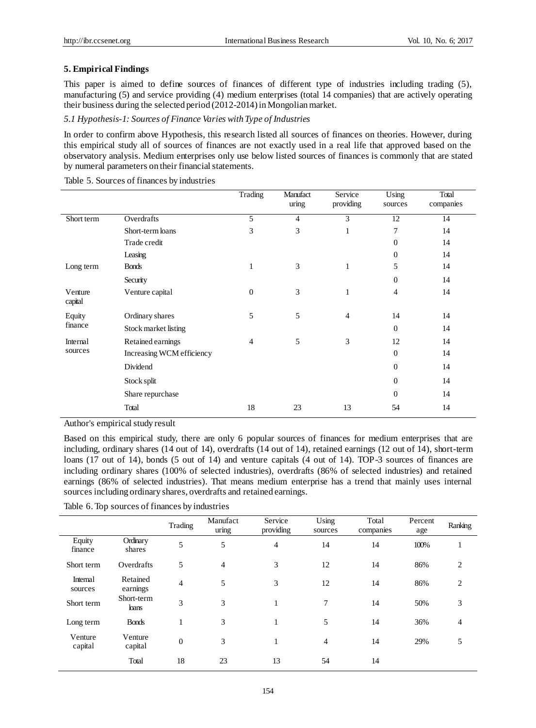# **5. Empirical Findings**

This paper is aimed to define sources of finances of different type of industries including trading (5), manufacturing (5) and service providing (4) medium enterprises (total 14 companies) that are actively operating their business during the selected period (2012-2014) in Mongolian market.

*5.1 Hypothesis-1: Sources of Finance Varies with Type of Industries*

In order to confirm above Hypothesis, this research listed all sources of finances on theories. However, during this empirical study all of sources of finances are not exactly used in a real life that approved based on the observatory analysis. Medium enterprises only use below listed sources of finances is commonly that are stated by numeral parameters on their financial statements.

|                    |                           | Trading          | Manufact<br>uring | Service<br>providing | Using<br>sources | Total<br>companies |
|--------------------|---------------------------|------------------|-------------------|----------------------|------------------|--------------------|
| Short term         | Overdrafts                | 5                | $\overline{4}$    | 3                    | 12               | 14                 |
|                    | Short-term loans          | 3                | 3                 | 1                    | 7                | 14                 |
|                    | Trade credit              |                  |                   |                      | $\overline{0}$   | 14                 |
|                    | Leasing                   |                  |                   |                      | $\theta$         | 14                 |
| Long term          | <b>Bonds</b>              | 1                | 3                 | $\mathbf{1}$         | 5                | 14                 |
|                    | Security                  |                  |                   |                      | $\overline{0}$   | 14                 |
| Venture<br>capital | Venture capital           | $\boldsymbol{0}$ | 3                 | $\mathbf{1}$         | $\overline{4}$   | 14                 |
| Equity             | Ordinary shares           | 5                | 5                 | 4                    | 14               | 14                 |
| finance            | Stock market listing      |                  |                   |                      | $\mathbf{0}$     | 14                 |
| Internal           | Retained earnings         | 4                | 5                 | 3                    | 12               | 14                 |
| sources            | Increasing WCM efficiency |                  |                   |                      | $\theta$         | 14                 |
|                    | Dividend                  |                  |                   |                      | $\overline{0}$   | 14                 |
|                    | Stock split               |                  |                   |                      | $\overline{0}$   | 14                 |
|                    | Share repurchase          |                  |                   |                      | $\overline{0}$   | 14                 |
|                    | Total                     | 18               | 23                | 13                   | 54               | 14                 |

Table 5. Sources of finances by industries

Author's empirical study result

Based on this empirical study, there are only 6 popular sources of finances for medium enterprises that are including, ordinary shares (14 out of 14), overdrafts (14 out of 14), retained earnings (12 out of 14), short-term loans (17 out of 14), bonds (5 out of 14) and venture capitals (4 out of 14). TOP-3 sources of finances are including ordinary shares (100% of selected industries), overdrafts (86% of selected industries) and retained earnings (86% of selected industries). That means medium enterprise has a trend that mainly uses internal sources including ordinary shares, overdrafts and retained earnings.

Table 6. Top sources of finances by industries

|                     |                      | Trading        | Manufact<br>uring | Service<br>providing | Using<br>sources | Total<br>companies | Percent<br>age | Ranking        |
|---------------------|----------------------|----------------|-------------------|----------------------|------------------|--------------------|----------------|----------------|
| Equity<br>finance   | Ordinary<br>shares   | 5              | 5                 | $\overline{4}$       | 14               | 14                 | 100%           |                |
| Short term          | Overdrafts           | 5              | $\overline{4}$    | 3                    | 12               | 14                 | 86%            | 2              |
| Internal<br>sources | Retained<br>earnings | $\overline{4}$ | 5                 | 3                    | 12               | 14                 | 86%            | 2              |
| Short term          | Short-term<br>bans   | 3              | 3                 |                      | 7                | 14                 | 50%            | 3              |
| Long term           | <b>Bonds</b>         | 1              | 3                 |                      | 5                | 14                 | 36%            | $\overline{4}$ |
| Venture<br>capital  | Venture<br>capital   | $\theta$       | 3                 |                      | 4                | 14                 | 29%            | 5              |
|                     | Total                | 18             | 23                | 13                   | 54               | 14                 |                |                |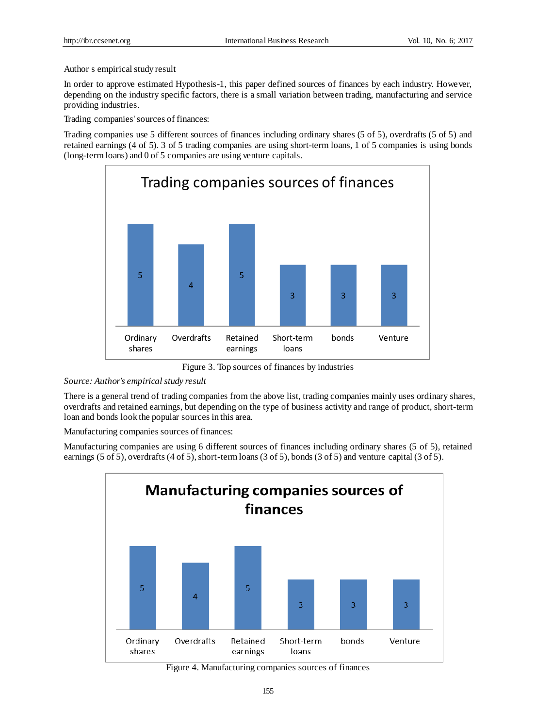# Author s empirical study result

In order to approve estimated Hypothesis-1, this paper defined sources of finances by each industry. However, depending on the industry specific factors, there is a small variation between trading, manufacturing and service providing industries.

Trading companies' sources of finances:

Trading companies use 5 different sources of finances including ordinary shares (5 of 5), overdrafts (5 of 5) and retained earnings (4 of 5). 3 of 5 trading companies are using short-term loans, 1 of 5 companies is using bonds (long-term loans) and 0 of 5 companies are using venture capitals.



Figure 3. Top sources of finances by industries

# *Source: Author's empirical study result*

There is a general trend of trading companies from the above list, trading companies mainly uses ordinary shares, overdrafts and retained earnings, but depending on the type of business activity and range of product, short-term loan and bonds look the popular sources in this area.

Manufacturing companies sources of finances:

Manufacturing companies are using 6 different sources of finances including ordinary shares (5 of 5), retained earnings (5 of 5), overdrafts (4 of 5), short-term loans (3 of 5), bonds (3 of 5) and venture capital (3 of 5).



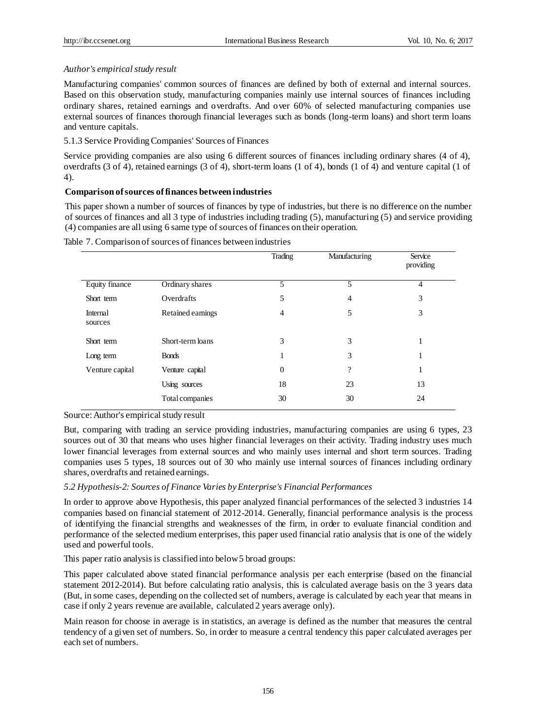# *Author's empirical study result*

Manufacturing companies' common sources of finances are defined by both of external and internal sources. Based on this observation study, manufacturing companies mainly use internal sources of finances including ordinary shares, retained earnings and overdrafts. And over 60% of selected manufacturing companies use external sources of finances thorough financial leverages such as bonds (long-term loans) and short term loans and venture capitals.

5.1.3 Service ProvidingCompanies' Sources of Finances

Service providing companies are also using 6 different sources of finances including ordinary shares (4 of 4), overdrafts (3 of 4), retained earnings (3 of 4), short-term loans (1 of 4), bonds (1 of 4) and venture capital (1 of 4).

# **Comparison of sources of finances between industries**

This paper shown a number of sources of finances by type of industries, but there is no difference on the number of sources of finances and all 3 type of industries including trading (5), manufacturing (5) and service providing (4) companies are all using 6 same type of sources of finances on their operation.

|                     |                        | Trading          | Manufacturing      | Service<br>providing |
|---------------------|------------------------|------------------|--------------------|----------------------|
| Equity finance      | Ordinary shares        | 5                | 5                  | 4                    |
| Short term          | Overdrafts             | 5                | 4                  | 3                    |
| Internal<br>sources | Retained earnings      | $\overline{4}$   | 5                  | 3                    |
| Short term          | Short-term loans       | 3                | 3                  | Ι.                   |
| Long term           | <b>Bonds</b>           | 1                | 3                  | л.                   |
| Venture capital     | Venture capital        | $\boldsymbol{0}$ | $\overline{\cdot}$ | T                    |
|                     | Using sources          | 18               | 23                 | 13                   |
|                     | <b>Total companies</b> | 30               | 30                 | 24                   |

Table 7. Comparison of sources of finances between industries

#### Source: Author's empirical study result

But, comparing with trading an service providing industries, manufacturing companies are using 6 types, 23 sources out of 30 that means who uses higher financial leverages on their activity. Trading industry uses much lower financial leverages from external sources and who mainly uses internal and short term sources. Trading companies uses 5 types, 18 sources out of 30 who mainly use internal sources of finances including ordinary shares, overdrafts and retained earnings.

# *5.2 Hypothesis-2: Sources of Finance Varies by Enterprise's Financial Performances*

In order to approve above Hypothesis, this paper analyzed financial performances of the selected 3 industries 14 companies based on financial statement of 2012-2014. Generally, financial performance analysis is the process of identifying the financial strengths and weaknesses of the firm, in order to evaluate financial condition and performance of the selected medium enterprises, this paper used financial ratio analysis that is one of the widely used and powerful tools.

This paper ratio analysis is classified into below 5 broad groups:

This paper calculated above stated financial performance analysis per each enterprise (based on the financial statement 2012-2014). But before calculating ratio analysis, this is calculated average basis on the 3 years data (But, in some cases, depending on the collected set of numbers, average is calculated by each year that means in case if only 2 years revenue are available, calculated 2 years average only).

Main reason for choose in average is in statistics, an average is defined as the number that measures the central tendency of a given set of numbers. So, in order to measure a central tendency this paper calculated averages per each set of numbers.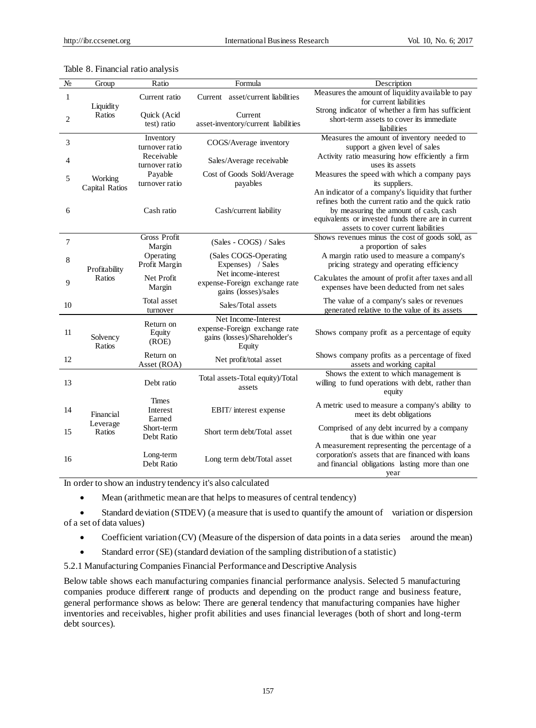| N <sub>0</sub> | Group                     | Ratio                              | Formula                                                                                        |                                                                                                                                                                                          |
|----------------|---------------------------|------------------------------------|------------------------------------------------------------------------------------------------|------------------------------------------------------------------------------------------------------------------------------------------------------------------------------------------|
|                |                           |                                    |                                                                                                | Description                                                                                                                                                                              |
| $\mathbf{1}$   | Liquidity                 | Current ratio                      | Current asset/current liabilities                                                              | Measures the amount of liquidity available to pay<br>for current liabilities                                                                                                             |
| $\overline{c}$ | Ratios                    | Quick (Acid<br>test) ratio         | Current<br>asset-inventory/current liabilities                                                 | Strong indicator of whether a firm has sufficient<br>short-term assets to cover its immediate<br>liabilities                                                                             |
| 3              |                           | Inventory<br>turnover ratio        | COGS/Average inventory                                                                         | Measures the amount of inventory needed to<br>support a given level of sales                                                                                                             |
| 4              |                           | Receivable<br>turnover ratio       | Sales/Average receivable                                                                       | Activity ratio measuring how efficiently a firm<br>uses its assets                                                                                                                       |
| 5              | Working<br>Capital Ratios | Payable<br>turnover ratio          | Cost of Goods Sold/Average<br>payables                                                         | Measures the speed with which a company pays<br>its suppliers.<br>An indicator of a company's liquidity that further                                                                     |
| 6              |                           | Cash ratio                         | Cash/current liability                                                                         | refines both the current ratio and the quick ratio<br>by measuring the amount of cash, cash<br>equivalents or invested funds there are in current<br>assets to cover current liabilities |
| 7              |                           | <b>Gross Profit</b><br>Margin      | (Sales - COGS) / Sales                                                                         | Shows revenues minus the cost of goods sold, as<br>a proportion of sales                                                                                                                 |
| 8              | Profitability             | Operating<br>Profit Margin         | (Sales COGS-Operating<br>Expenses) / Sales                                                     | A margin ratio used to measure a company's<br>pricing strategy and operating efficiency                                                                                                  |
| 9              | Ratios                    | Net Profit<br>Margin               | Net income-interest<br>expense-Foreign exchange rate<br>gains (losses)/sales                   | Calculates the amount of profit after taxes and all<br>expenses have been deducted from net sales                                                                                        |
| 10             |                           | Total asset<br>turnover            | Sales/Total assets                                                                             | The value of a company's sales or revenues<br>generated relative to the value of its assets                                                                                              |
| 11             | Solvency<br>Ratios        | Return on<br>Equity<br>(ROE)       | Net Income-Interest<br>expense-Foreign exchange rate<br>gains (losses)/Shareholder's<br>Equity | Shows company profit as a percentage of equity                                                                                                                                           |
| 12             |                           | Return on<br>Asset (ROA)           | Net profit/total asset                                                                         | Shows company profits as a percentage of fixed<br>assets and working capital                                                                                                             |
| 13             |                           | Debt ratio                         | Total assets-Total equity)/Total<br>assets                                                     | Shows the extent to which management is<br>willing to fund operations with debt, rather than<br>equity                                                                                   |
| 14             | Financial                 | <b>Times</b><br>Interest<br>Earned | EBIT/interest expense                                                                          | A metric used to measure a company's ability to<br>meet its debt obligations                                                                                                             |
| 15             | Leverage<br>Ratios        | Short-term<br>Debt Ratio           | Short term debt/Total asset                                                                    | Comprised of any debt incurred by a company<br>that is due within one year<br>A measurement representing the percentage of a                                                             |
| 16             |                           | Long-term<br>Debt Ratio            | Long term debt/Total asset                                                                     | corporation's assets that are financed with loans<br>and financial obligations lasting more than one<br>year                                                                             |

#### Table 8. Financial ratio analysis

In order to show an industry tendency it's also calculated

Mean (arithmetic mean are that helps to measures of central tendency)

 Standard deviation (STDEV) (a measure that is used to quantify the amount of variation or dispersion of a set of data values)

- Coefficient variation (CV) (Measure of the dispersion of data points in a data series around the mean)
- Standard error (SE) (standard deviation of the sampling distribution of a statistic)

5.2.1 Manufacturing Companies Financial Performance and Descriptive Analysis

Below table shows each manufacturing companies financial performance analysis. Selected 5 manufacturing companies produce different range of products and depending on the product range and business feature, general performance shows as below: There are general tendency that manufacturing companies have higher inventories and receivables, higher profit abilities and uses financial leverages (both of short and long-term debt sources).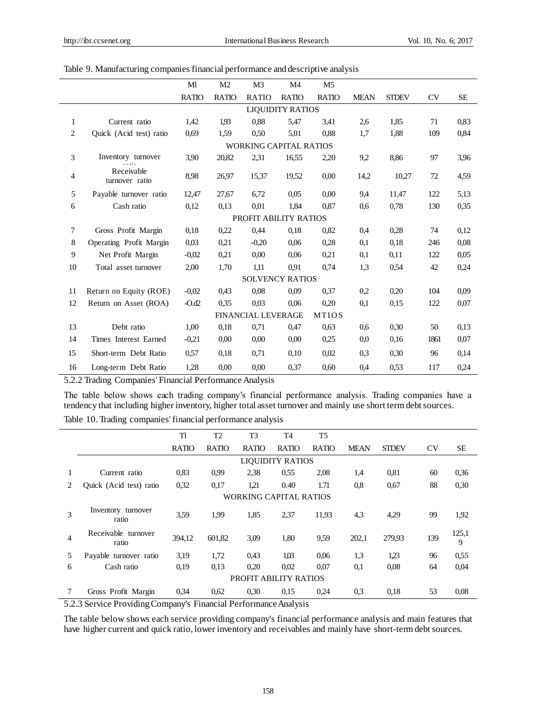|                |                              | Ml           | M <sub>2</sub> | M <sub>3</sub>                | M <sub>4</sub>          | M <sub>5</sub> |             |              |      |           |
|----------------|------------------------------|--------------|----------------|-------------------------------|-------------------------|----------------|-------------|--------------|------|-----------|
|                |                              | <b>RATIO</b> | <b>RATIO</b>   | <b>RATIO</b>                  | <b>RATIO</b>            | <b>RATIO</b>   | <b>MEAN</b> | <b>STDEV</b> | CV   | <b>SE</b> |
|                |                              |              |                |                               | <b>LIQUIDITY RATIOS</b> |                |             |              |      |           |
| $\mathbf{1}$   | Current ratio                | 1.42         | 1.93           | 0.88                          | 5,47                    | 3,41           | 2,6         | 1,85         | 71   | 0,83      |
| $\mathbf{2}$   | Quick (Acid test) ratio      | 0,69         | 1.59           | 0,50                          | 5,01                    | 0,88           | 1,7         | 1,88         | 109  | 0.84      |
|                |                              |              |                | <b>WORKING CAPITAL RATIOS</b> |                         |                |             |              |      |           |
| 3              | Inventory turnover           | 3.90         | 20,82          | 2,31                          | 16,55                   | 2,20           | 9,2         | 8,86         | 97   | 3,96      |
| $\overline{4}$ | Receivable<br>turnover ratio | 8.98         | 26,97          | 15,37                         | 19,52                   | 0,00           | 14,2        | 10,27        | 72   | 4,59      |
| 5              | Payable turnover ratio       | 12,47        | 27,67          | 6.72                          | 0.05                    | 0,00           | 9,4         | 11,47        | 122  | 5,13      |
| 6              | Cash ratio                   | 0,12         | 0,13           | 0,01                          | 1,84                    | 0.87           | 0.6         | 0,78         | 130  | 0,35      |
|                |                              |              |                | PROFIT ABILITY RATIOS         |                         |                |             |              |      |           |
| 7              | Gross Profit Margin          | 0.18         | 0.22           | 0,44                          | 0,18                    | 0,82           | 0.4         | 0,28         | 74   | 0,12      |
| 8              | Operating Profit Margin      | 0.03         | 0,21           | $-0.20$                       | 0,06                    | 0,28           | 0.1         | 0,18         | 246  | 0,08      |
| 9              | Net Profit Margin            | $-0.02$      | 0.21           | 0.00                          | 0.06                    | 0,21           | 0,1         | 0,11         | 122  | 0,05      |
| 10             | Total asset turnover         | 2,00         | 1,70           | 1,11                          | 0.91                    | 0,74           | 1,3         | 0.54         | 42   | 0.24      |
|                |                              |              |                | <b>SOLVENCY RATIOS</b>        |                         |                |             |              |      |           |
| 11             | Return on Equity (ROE)       | $-0.02$      | 0,43           | 0.08                          | 0.09                    | 0.37           | 0.2         | 0,20         | 104  | 0,09      |
| 12             | Return on Asset (ROA)        | $-0.02$      | 0,35           | 0.03                          | 0,06                    | 0,20           | 0.1         | 0,15         | 122  | 0,07      |
|                |                              |              |                | <b>FINANCIAL LEVERAGE</b>     |                         | <b>MTIOS</b>   |             |              |      |           |
| 13             | Debt ratio                   | 1,00         | 0.18           | 0.71                          | 0,47                    | 0.63           | 0.6         | 0,30         | 50   | 0.13      |
| 14             | Times Interest Earned        | $-0,21$      | 0.00           | 0.00                          | 0,00                    | 0,25           | 0,0         | 0,16         | 1861 | 0,07      |
| 15             | Short-term Debt Ratio        | 0.57         | 0,18           | 0.71                          | 0,10                    | 0,02           | 0,3         | 0,30         | 96   | 0,14      |
| 16             | Long-term Debt Ratio         | 1,28         | 0,00           | 0.00                          | 0,37                    | 0,60           | 0,4         | 0,53         | 117  | 0,24      |

#### Table 9. Manufacturing companies financial performance and descriptive analysis

5.2.2 Trading Companies' Financial Performance Analysis

The table below shows each trading company's financial performance analysis. Trading companies have a tendency that including higher inventory, higher total asset turnover and mainly use short term debt sources. Table 10. Trading companies' financial performance analysis

|    |                                                  | TI           | T <sub>2</sub> | T <sub>3</sub> | T <sub>4</sub>          | T <sub>5</sub> |             |              |           |            |  |  |
|----|--------------------------------------------------|--------------|----------------|----------------|-------------------------|----------------|-------------|--------------|-----------|------------|--|--|
|    |                                                  | <b>RATIO</b> | <b>RATIO</b>   | <b>RATIO</b>   | <b>RATIO</b>            | <b>RATIO</b>   | <b>MEAN</b> | <b>STDEV</b> | <b>CV</b> | SE.        |  |  |
|    |                                                  |              |                |                | <b>LIQUIDITY RATIOS</b> |                |             |              |           |            |  |  |
| 1  | Current ratio                                    | 0,83         | 0.99           | 2,38           | 0.55                    | 2,08           | 1,4         | 0,81         | 60        | 0.36       |  |  |
| 2. | Quick (Acid test) ratio                          | 0,32         | 0,17           | 121            | 0.40                    | 1.71           | 0,8         | 0,67         | 88        | 0,30       |  |  |
|    | <b>WORKING CAPITAL RATIOS</b>                    |              |                |                |                         |                |             |              |           |            |  |  |
| 3  | Inventory turnover<br>ratio                      | 3.59         | 1.99           | 1,85           | 2,37                    | 11,93          | 4.3         | 4,29         | 99        | 1,92       |  |  |
| 4  | Receivable turnover<br>ratio                     | 394,12       | 601,82         | 3,09           | 1,80                    | 9.59           | 202,1       | 279.93       | 139       | 125,1<br>9 |  |  |
| 5  | Payable turnover ratio                           | 3,19         | 1,72           | 0.43           | 1.03                    | 0,06           | 1,3         | 1,23         | 96        | 0,55       |  |  |
| 6  | Cash ratio                                       | 0,19         | 0,13           | 0,20           | 0,02                    | 0,07           | 0.1         | 0.08         | 64        | 0,04       |  |  |
|    | PROFIT ABILITY RATIOS                            |              |                |                |                         |                |             |              |           |            |  |  |
|    | Gross Profit Margin                              | 0,34         | 0,62           | 0,30           | 0.15                    | 0.24           | 0,3         | 0,18         | 53        | 0,08       |  |  |
|    | $\sim$ $\sim$ $\sim$ $\sim$ $\sim$ $\sim$ $\sim$ | $\mathbf{r}$ | $\cdots$       |                | $\cdots$                |                |             |              |           |            |  |  |

5.2.3 Service Providing Company's Financial Performance Analysis

The table below shows each service providing company's financial performance analysis and main features that have higher current and quick ratio, lower inventory and receivables and mainly have short-term debt sources.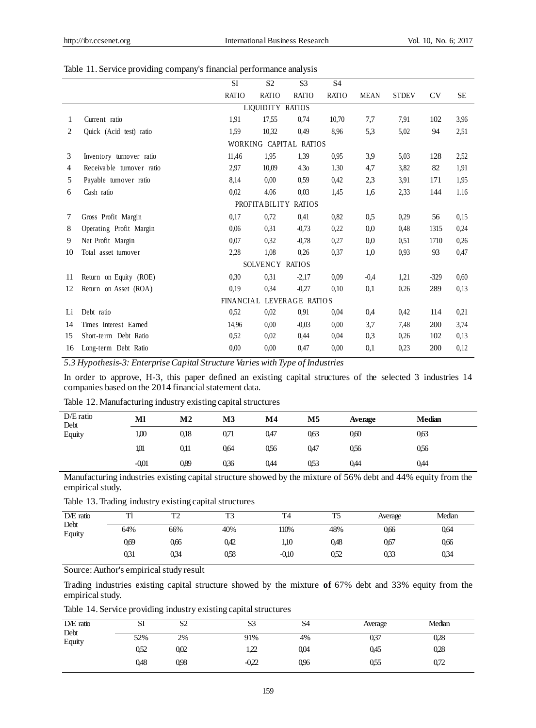|  |  |  | Table 11. Service providing company's financial performance analysis |  |
|--|--|--|----------------------------------------------------------------------|--|
|  |  |  |                                                                      |  |

|    |                           | <b>SI</b>        | S <sub>2</sub>         | S <sub>3</sub>   | <b>S4</b>    |             |              |        |           |
|----|---------------------------|------------------|------------------------|------------------|--------------|-------------|--------------|--------|-----------|
|    |                           | <b>RATIO</b>     | <b>RATIO</b>           | <b>RATIO</b>     | <b>RATIO</b> | <b>MEAN</b> | <b>STDEV</b> | CV     | <b>SE</b> |
|    |                           |                  | LIQUIDITY RATIOS       |                  |              |             |              |        |           |
| 1  | Current ratio             | 1,91             | 17,55                  | 0,74             | 10,70        | 7,7         | 7,91         | 102    | 3,96      |
| 2  | Quick (Acid test) ratio   | 1,59             | 10.32                  | 0.49             | 8.96         | 5,3         | 5,02         | 94     | 2,51      |
|    |                           |                  | WORKING CAPITAL RATIOS |                  |              |             |              |        |           |
| 3  | Inventory turnover ratio  | 11,46            | 1,95                   | 1.39             | 0.95         | 3,9         | 5,03         | 128    | 2,52      |
| 4  | Receivable turnover ratio | 2,97             | 10,09                  | 4.3 <sub>0</sub> | 1.30         | 4,7         | 3,82         | 82     | 1,91      |
| 5  | Payable turnover ratio    | 8,14             | 0.00                   | 0.59             | 0,42         | 2,3         | 3,91         | 171    | 1,95      |
| 6  | Cash ratio                | 0,02             | 4.06                   | 0,03             | 1,45         | 1.6         | 2,33         | 144    | 1.16      |
|    |                           |                  | PROFITA BILITY         | <b>RATIOS</b>    |              |             |              |        |           |
| 7  | Gross Profit Margin       | 0,17             | 0,72                   | 0,41             | 0.82         | 0,5         | 0,29         | 56     | 0.15      |
| 8  | Operating Profit Margin   | 0.06             | 0,31                   | $-0.73$          | 0.22         | 0,0         | 0.48         | 1315   | 0,24      |
| 9  | Net Profit Margin         | 0,07             | 0,32                   | $-0,78$          | 0,27         | 0,0         | 0.51         | 1710   | 0,26      |
| 10 | Total asset turnover      | 2,28             | 1,08                   | 0.26             | 0.37         | 1,0         | 0,93         | 93     | 0,47      |
|    |                           |                  | SOLVENCY RATIOS        |                  |              |             |              |        |           |
| 11 | Return on Equity (ROE)    | 0,30             | 0,31                   | $-2,17$          | 0.09         | $-0.4$      | 1,21         | $-329$ | 0,60      |
| 12 | Return on Asset (ROA)     | 0,19             | 0.34                   | $-0.27$          | 0.10         | 0,1         | 0.26         | 289    | 0.13      |
|    |                           | <b>FINANCIAL</b> |                        | LEVERAGE RATIOS  |              |             |              |        |           |
| Li | Debt ratio                | 0,52             | 0.02                   | 0.91             | 0.04         | 0.4         | 0,42         | 114    | 0,21      |
| 14 | Times Interest Earned     | 14,96            | 0.00                   | $-0.03$          | 0.00         | 3,7         | 7,48         | 200    | 3,74      |
| 15 | Short-term Debt Ratio     | 0,52             | 0,02                   | 0,44             | 0.04         | 0,3         | 0,26         | 102    | 0.13      |
| 16 | Long-term Debt Ratio      | 0.00             | 0.00                   | 0,47             | 0.00         | 0,1         | 0,23         | 200    | 0,12      |

*5.3 Hypothesis-3: Enterprise Capital Structure Varies with Type of Industries*

In order to approve, H-3, this paper defined an existing capital structures of the selected 3 industries 14 companies based on the 2014 financial statement data.

|  |  |  | Table 12. Manufacturing industry existing capital structures |
|--|--|--|--------------------------------------------------------------|
|  |  |  |                                                              |

| $D/E$ ratio<br>Debt | Ml      | M2   | М3   | $\mathbf{M}4$ | M5   | Average | <b>Median</b> |
|---------------------|---------|------|------|---------------|------|---------|---------------|
| Equity              | 1,00    | 0,18 | 0.71 | 0,47          | 0,63 | 0,60    | 0,63          |
|                     | 1,01    | 0,11 | 0.64 | 056           | 0,47 | 0,56    | 0,56          |
|                     | $-0.01$ | 0,89 | 036  | 0.44          | 0.53 | 0,44    | 0,44          |

Manufacturing industries existing capital structure showed by the mixture of 56% debt and 44% equity from the empirical study.

Table 13. Trading industry existing capital structures

| $DE$ ratio<br>Debt | m    | <b>TM</b><br>ے ۔ | T3   | T <sub>4</sub> | T5   | Average | Median |
|--------------------|------|------------------|------|----------------|------|---------|--------|
| Equity             | 64%  | 66%              | 40%  | 110%           | 48%  | 0,66    | 0,64   |
|                    | 0.69 | 0.66             | 0.42 | 1.10           | 0.48 | 0.67    | 0.66   |
|                    | 031  | 034              | 0.58 | $-0.10$        | 0.52 | 0,33    | 034    |

Source: Author's empirical study result

Trading industries existing capital structure showed by the mixture **of** 67% debt and 33% equity from the empirical study.

Table 14. Service providing industry existing capital structures

| $D/E$ ratio<br>Debt | SI   | S2   | S3      | S <sub>4</sub> | Average | Median |
|---------------------|------|------|---------|----------------|---------|--------|
| Equity              | 52%  | 2%   | 91%     | 4%             | 037     | 0,28   |
|                     | 0,52 | 002  | 122     | 0,04           | 0,45    | 0,28   |
|                     | 0,48 | 0.98 | $-0.22$ | 0.96           | 0,55    | 0,72   |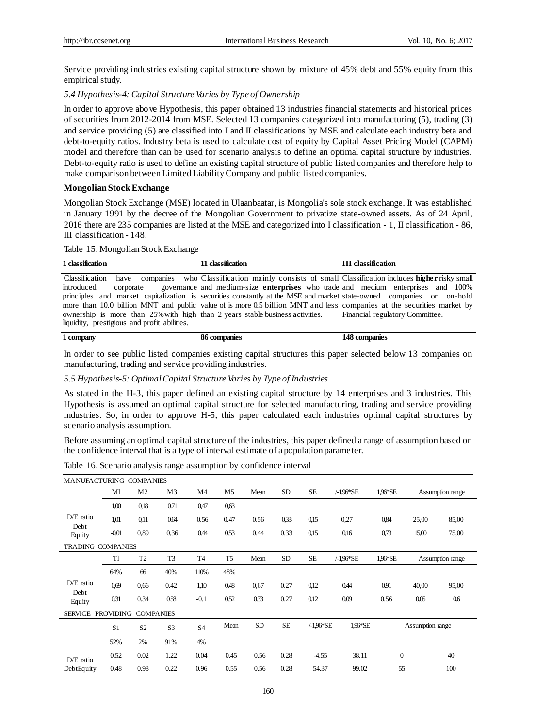Service providing industries existing capital structure shown by mixture of 45% debt and 55% equity from this empirical study.

#### *5.4 Hypothesis-4: Capital Structure Varies by Type of Ownership*

In order to approve above Hypothesis, this paper obtained 13 industries financial statements and historical prices of securities from 2012-2014 from MSE. Selected 13 companies categorized into manufacturing (5), trading (3) and service providing (5) are classified into I and II classifications by MSE and calculate each industry beta and debt-to-equity ratios. Industry beta is used to calculate cost of equity by Capital Asset Pricing Model (CAPM) model and therefore than can be used for scenario analysis to define an optimal capital structure by industries. Debt-to-equity ratio is used to define an existing capital structure of public listed companies and therefore help to make comparison between Limited Liability Company and public listed companies.

#### **Mongolian Stock Exchange**

Mongolian Stock Exchange (MSE) located in Ulaanbaatar, is Mongolia's sole stock exchange. It was established in January 1991 by the decree of the Mongolian Government to privatize state-owned assets. As of 24 April, 2016 there are 235 companies are listed at the MSE and categorized into I classification - 1, II classification - 86, III classification - 148.

#### Table 15. Mongolian Stock Exchange

| 1 classification                             | 11 classification                                                                                                           | <b>III</b> classification |
|----------------------------------------------|-----------------------------------------------------------------------------------------------------------------------------|---------------------------|
|                                              | Classification have companies who Classification mainly consists of small Classification includes <b>higher</b> risky small |                           |
| introduced<br>corporate                      | governance and medium-size <b>enterprises</b> who trade and medium enterprises and 100%                                     |                           |
|                                              | principles and market capitalization is securities constantly at the MSE and market state-owned companies or on-hold        |                           |
|                                              | more than 10.0 billion MNT and public value of is more 0.5 billion MNT and less companies at the securities market by       |                           |
|                                              | ownership is more than 25% with high than 2 years stable business activities. Financial regulatory Committee.               |                           |
| liquidity, prestigious and profit abilities. |                                                                                                                             |                           |

# **1 company 86 companies 148 companies**

In order to see public listed companies existing capital structures this paper selected below 13 companies on manufacturing, trading and service providing industries.

#### *5.5 Hypothesis-5: Optimal Capital Structure Varies by Type of Industries*

As stated in the H-3, this paper defined an existing capital structure by 14 enterprises and 3 industries. This Hypothesis is assumed an optimal capital structure for selected manufacturing, trading and service providing industries. So, in order to approve H-5, this paper calculated each industries optimal capital structures by scenario analysis assumption.

Before assuming an optimal capital structure of the industries, this paper defined a range of assumption based on the confidence interval that is a type of interval estimate of a population parameter.

|  |  |  |  | Table 16. Scenario analysis range assumption by confidence interval |
|--|--|--|--|---------------------------------------------------------------------|
|  |  |  |  |                                                                     |

| MANUFACTURING COMPANIES  |                  |                  |                |                |                |           |           |              |              |         |                  |                  |
|--------------------------|------------------|------------------|----------------|----------------|----------------|-----------|-----------|--------------|--------------|---------|------------------|------------------|
|                          | Ml               | M <sub>2</sub>   | M <sub>3</sub> | M4             | M5             | Mean      | <b>SD</b> | <b>SE</b>    | $/ -1.96*SE$ | 1.96*SE |                  | Assumption range |
|                          | 1,00             | 0,18             | 0.71           | 0,47           | 0.63           |           |           |              |              |         |                  |                  |
| $D/E$ ratio              | 1,01             | 0,11             | 0.64           | 0.56           | 0.47           | 0.56      | 0,33      | 0,15         | 0,27         | 0,84    | 25,00            | 85,00            |
| Debt<br>Equity           | $-0.01$          | 0.89             | 0,36           | 0.44           | 0.53           | 0.44      | 0,33      | 0,15         | 0,16         | 0,73    | 15,00            | 75,00            |
| <b>TRADING COMPANIES</b> |                  |                  |                |                |                |           |           |              |              |         |                  |                  |
|                          | Tl               | T <sub>2</sub>   | T <sub>3</sub> | T4             | T <sub>5</sub> | Mean      | <b>SD</b> | <b>SE</b>    | $/ -1.96*SE$ | 1.96*SE |                  | Assumption range |
|                          | 64%              | 66               | 40%            | 110%           | 48%            |           |           |              |              |         |                  |                  |
| $D/E$ ratio              | 069              | 0.66             | 0.42           | 1,10           | 0.48           | 0,67      | 0.27      | 0,12         | 0.44         | 0.91    | 40,00            | 95,00            |
| Debt<br>Equity           | 0.31             | 0.34             | 0.58           | $-0.1$         | 0.52           | 033       | 0.27      | 0.12         | 0.09         | 0.56    | 0.05             | 0.6              |
| <b>SERVICE</b>           | <b>PROVIDING</b> | <b>COMPANIES</b> |                |                |                |           |           |              |              |         |                  |                  |
|                          | S1               | S <sub>2</sub>   | S <sub>3</sub> | S <sub>4</sub> | Mean           | <b>SD</b> | <b>SE</b> | $/ -1.96*SE$ | 1.96*SE      |         | Assumption range |                  |
|                          | 52%              | 2%               | 91%            | 4%             |                |           |           |              |              |         |                  |                  |
| $D/E$ ratio              | 0.52             | 0.02             | 1.22           | 0.04           | 0.45           | 0.56      | 0.28      | $-4.55$      | 38.11        |         | $\mathbf{0}$     | 40               |
| DebtEquity               | 0.48             | 0.98             | 0.22           | 0.96           | 0.55           | 0.56      | 0.28      | 54.37        | 99.02        |         | 55               | 100              |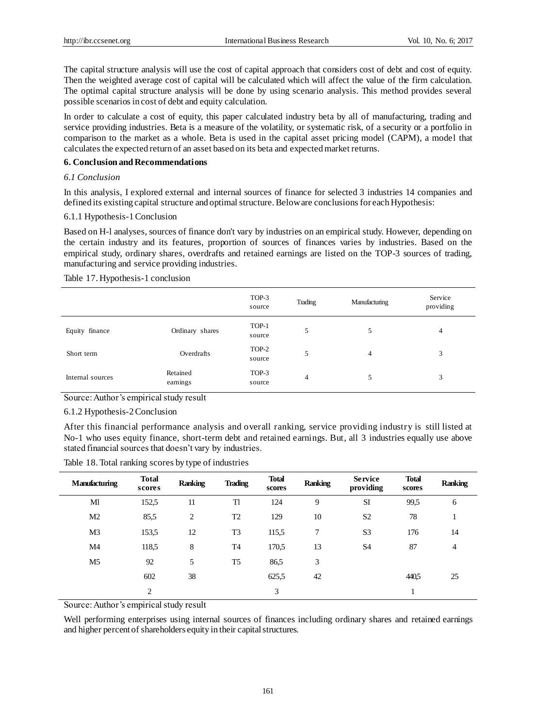The capital structure analysis will use the cost of capital approach that considers cost of debt and cost of equity. Then the weighted average cost of capital will be calculated which will affect the value of the firm calculation. The optimal capital structure analysis will be done by using scenario analysis. This method provides several possible scenarios in cost of debt and equity calculation.

In order to calculate a cost of equity, this paper calculated industry beta by all of manufacturing, trading and service providing industries. Beta is a measure of the volatility, or systematic risk, of a security or a portfolio in comparison to the market as a whole. Beta is used in the capital asset pricing model (CAPM), a model that calculates the expected return of an asset based on its beta and expected market returns.

### **6. Conclusion and Recommendations**

# *6.1 Conclusion*

In this analysis, I explored external and internal sources of finance for selected 3 industries 14 companies and defined its existing capital structure and optimal structure. Below are conclusions for each Hypothesis:

# 6.1.1 Hypothesis-1 Conclusion

Based on H-l analyses, sources of finance don't vary by industries on an empirical study. However, depending on the certain industry and its features, proportion of sources of finances varies by industries. Based on the empirical study, ordinary shares, overdrafts and retained earnings are listed on the TOP-3 sources of trading, manufacturing and service providing industries.

# Table 17. Hypothesis-1 conclusion

|                  |                      | TOP-3<br>source | Trading | Manufacturing | Service<br>providing |
|------------------|----------------------|-----------------|---------|---------------|----------------------|
| Equity finance   | Ordinary shares      | TOP-1<br>source | 5       | 5             | 4                    |
| Short term       | Overdrafts           | TOP-2<br>source | 5       | 4             | 3                    |
| Internal sources | Retained<br>earnings | TOP-3<br>source | 4       | 5             | 3                    |

Source: Author's empirical study result

# 6.1.2 Hypothesis-2 Conclusion

After this financial performance analysis and overall ranking, service providing industry is still listed at No-1 who uses equity finance, short-term debt and retained earnings. But, all 3 industries equally use above stated financial sources that doesn't vary by industries.

| <b>Manufacturing</b> | <b>Total</b><br>scores | <b>Ranking</b> | <b>Trading</b> | <b>Total</b><br>scores | <b>Ranking</b> | <b>Service</b><br>providing | <b>Total</b><br>scores | <b>Ranking</b> |
|----------------------|------------------------|----------------|----------------|------------------------|----------------|-----------------------------|------------------------|----------------|
| Ml                   | 152,5                  | 11             | Tl             | 124                    | 9              | <b>SI</b>                   | 99,5                   | 6              |
| M <sub>2</sub>       | 85,5                   | $\overline{c}$ | T <sub>2</sub> | 129                    | 10             | S <sub>2</sub>              | 78                     |                |
| M <sub>3</sub>       | 153,5                  | 12             | T <sub>3</sub> | 115,5                  | 7              | S <sub>3</sub>              | 176                    | 14             |
| M4                   | 118,5                  | 8              | T <sub>4</sub> | 170,5                  | 13             | S <sub>4</sub>              | 87                     | $\overline{4}$ |
| M <sub>5</sub>       | 92                     | 5              | T5             | 86,5                   | 3              |                             |                        |                |
|                      | 602                    | 38             |                | 625,5                  | 42             |                             | 440.5                  | 25             |
|                      | 2                      |                |                | 3                      |                |                             | 1                      |                |

Table 18. Total ranking scores by type of industries

Source: Author's empirical study result

Well performing enterprises using internal sources of finances including ordinary shares and retained earnings and higher percent of shareholders equity in their capital structures.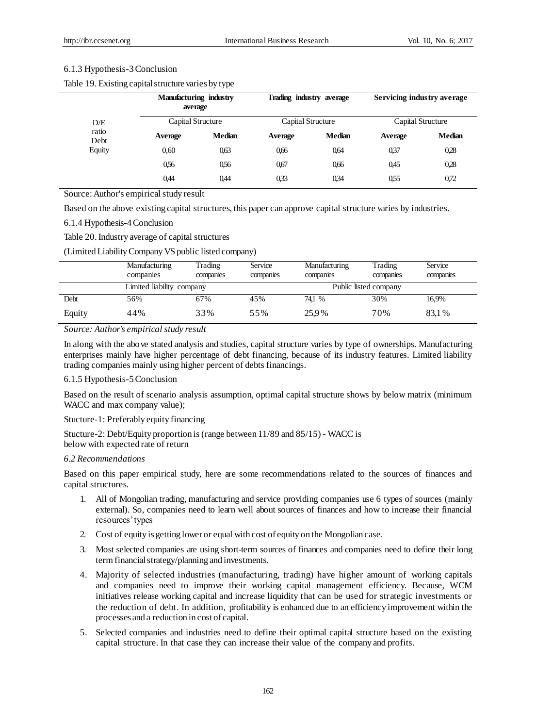# 6.1.3 Hypothesis-3 Conclusion

Table 19. Existing capital structure varies by type

|               | Manufacturing industry<br>average |               | Trading industry average |               | Servicing industry average |               |
|---------------|-----------------------------------|---------------|--------------------------|---------------|----------------------------|---------------|
| D/E           | Capital Structure                 |               | Capital Structure        |               | Capital Structure          |               |
| ratio<br>Debt | Average                           | <b>Median</b> | Average                  | <b>Median</b> | Average                    | <b>Median</b> |
| Equity        | 0,60                              | 0.63          | 0.66                     | 0.64          | 037                        | 0.28          |
|               | 0.56                              | 0.56          | 0.67                     | 0.66          | 0.45                       | 0.28          |
|               | 0,44                              | 0,44          | 033                      | 034           | 055                        | 0.72          |

Source: Author's empirical study result

Based on the above existing capital structures, this paper can approve capital structure varies by industries.

# 6.1.4 Hypothesis-4 Conclusion

Table 20.Industry average of capital structures

(Limited Liability Company VS public listed company)

|        | Manufacturing<br>companies | Trading<br>companies | Service<br>companies | Manufacturing<br>companies | Trading<br>companies | Service<br>companies |  |  |
|--------|----------------------------|----------------------|----------------------|----------------------------|----------------------|----------------------|--|--|
|        | Limited liability company  |                      |                      | Public listed company      |                      |                      |  |  |
| Debt   | 56%                        | 67%                  | 45%                  | 74.1 %                     | 30%                  | 16.9%                |  |  |
| Equity | 44%                        | 33%                  | 55%                  | 25.9%                      | 70%                  | 83.1 %               |  |  |

*Source: Author's empirical study result*

In along with the above stated analysis and studies, capital structure varies by type of ownerships. Manufacturing enterprises mainly have higher percentage of debt financing, because of its industry features. Limited liability trading companies mainly using higher percent of debts financings.

# 6.1.5 Hypothesis-5 Conclusion

Based on the result of scenario analysis assumption, optimal capital structure shows by below matrix (minimum WACC and max company value);

#### Stucture-1: Preferably equity financing

Stucture-2: Debt/Equity proportion is (range between 11/89 and 85/15) - WACC is below with expected rate of return

#### *6.2 Recommendations*

Based on this paper empirical study, here are some recommendations related to the sources of finances and capital structures.

- 1. All of Mongolian trading, manufacturing and service providing companies use 6 types of sources (mainly external). So, companies need to learn well about sources of finances and how to increase their financial resources' types
- 2. Cost of equity is getting lower or equal with cost of equity on the Mongolian case.
- 3. Most selected companies are using short-term sources of finances and companies need to define their long term financial strategy/planning and investments.
- 4. Majority of selected industries (manufacturing, trading) have higher amount of working capitals and companies need to improve their working capital management efficiency. Because, WCM initiatives release working capital and increase liquidity that can be used for strategic investments or the reduction of debt. In addition, profitability is enhanced due to an efficiency improvement within the processes and a reduction in cost of capital.
- 5. Selected companies and industries need to define their optimal capital structure based on the existing capital structure. In that case they can increase their value of the company and profits.